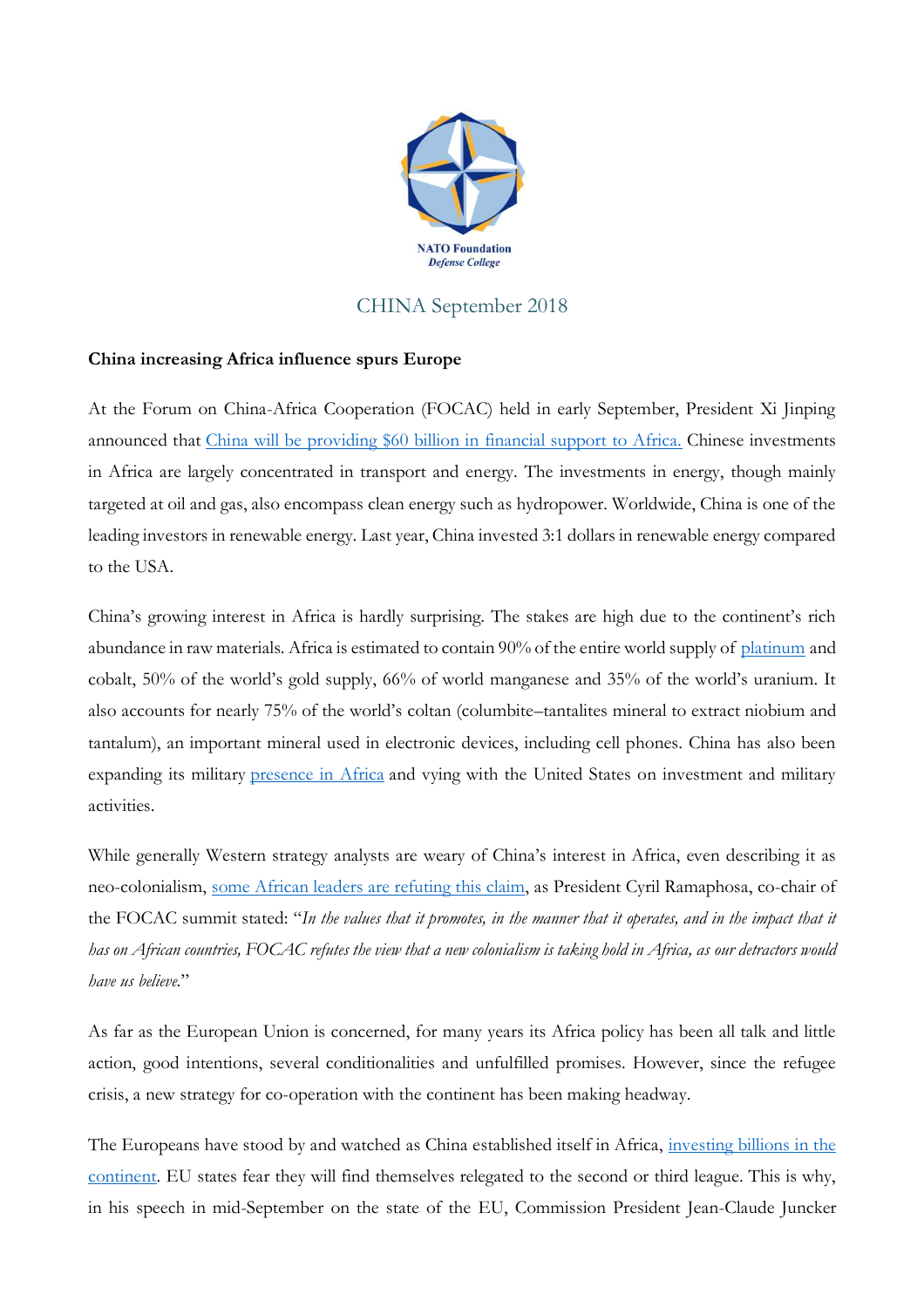

## CHINA September 2018

## **China increasing Africa influence spurs Europe**

At the Forum on China-Africa Cooperation (FOCAC) held in early September, President Xi Jinping announced that [China will be providing \\$60 billion in financial support to Africa.](http://www.africanews.com/2018/09/03/china-promises-60-bn-aid-to-africa-as-2018-focac-summit-opens/) Chinese investments in Africa are largely concentrated in transport and energy. The investments in energy, though mainly targeted at oil and gas, also encompass clean energy such as hydropower. Worldwide, China is one of the leading investors in renewable energy. Last year, China invested 3:1 dollars in renewable energy compared to the USA.

China's growing interest in Africa is hardly surprising. The stakes are high due to the continent's rich abundance in raw materials. Africa is estimated to contain 90% of the entire world supply of [platinum](https://www.investopedia.com/terms/p/platinum.asp) and cobalt, 50% of the world's gold supply, 66% of world manganese and 35% of the world's uranium. It also accounts for nearly 75% of the world's coltan (columbite–tantalites mineral to extract niobium and tantalum), an important mineral used in electronic devices, including cell phones. China has also been expanding its military [presence in Africa](https://www.washingtonpost.com/opinions/global-opinions/china-is-challenging-the-us-in-the-horn-of-africa--and-washington-is-silent/2018/09/27/6b5b5d10-c288-11e8-a1f0-a4051b6ad114_story.html?noredirect=on&utm_term=.db6d390e477d) and vying with the United States on investment and military activities.

While generally Western strategy analysts are weary of China's interest in Africa, even describing it as neo-colonialism, [some African leaders are refuting this claim,](https://qz.com/africa/1379457/china-africa-summit-african-leaders-praise-relations-with-beijing/) as President Cyril Ramaphosa, co-chair of the FOCAC summit stated: "*In the values that it promotes, in the manner that it operates, and in the impact that it has on African countries, FOCAC refutes the view that a new colonialism is taking hold in Africa, as our detractors would have us believe*."

As far as the European Union is concerned, for many years its Africa policy has been all talk and little action, good intentions, several conditionalities and unfulfilled promises. However, since the refugee crisis, a new strategy for co-operation with the continent has been making headway.

The Europeans have stood by and watched as China established itself in Africa, investing billions in the [continent.](https://www.dw.com/en/china-offers-africa-billions-no-strings-attached/a-45333627) EU states fear they will find themselves relegated to the second or third league. This is why, in his speech in mid-September on the state of the EU, Commission President Jean-Claude Juncker